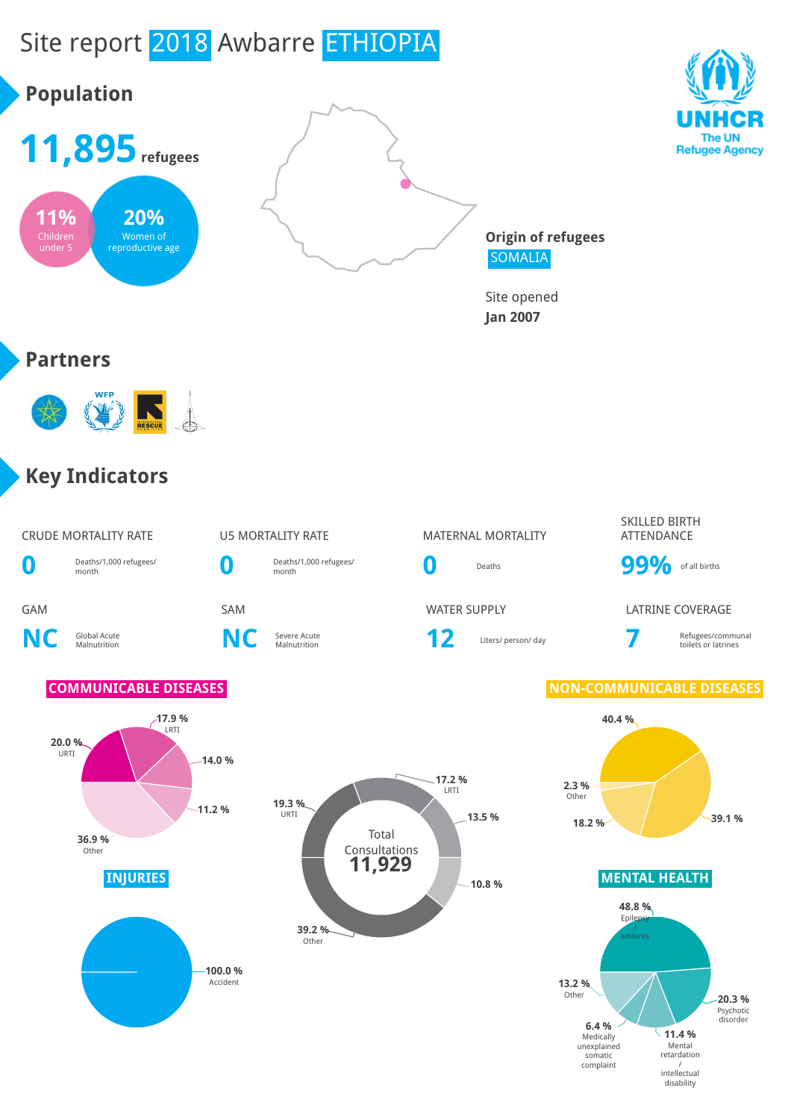

disability

# Site report 2018 Awbarre ETHIOPIA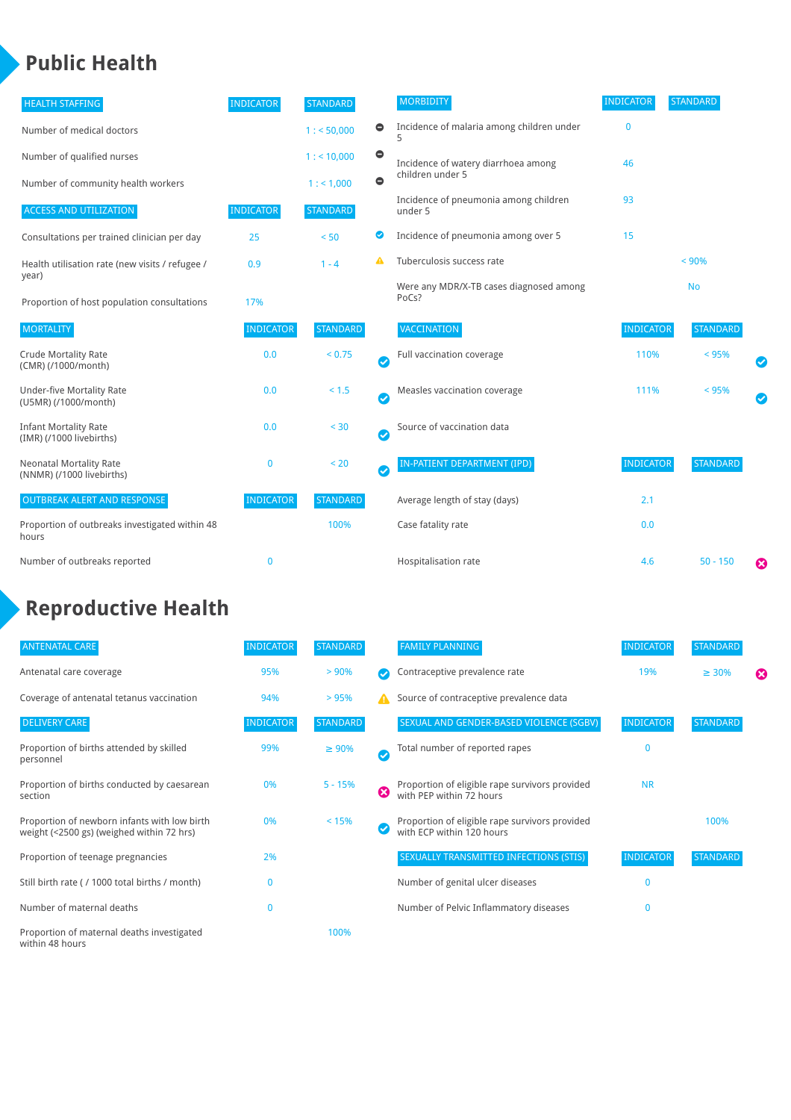### **Public Health**

| <b>HEALTH STAFFING</b>                                      | <b>INDICATOR</b> | <b>STANDARD</b> |           | <b>MORBIDITY</b>                                 | <b>INDICATOR</b> | <b>STANDARD</b> |           |
|-------------------------------------------------------------|------------------|-----------------|-----------|--------------------------------------------------|------------------|-----------------|-----------|
| Number of medical doctors                                   |                  | 1: 50,000       | $\bullet$ | Incidence of malaria among children under        | $\bf{0}$         |                 |           |
| Number of qualified nurses                                  |                  | $1:$ < 10,000   | $\bullet$ | Incidence of watery diarrhoea among              | 46               |                 |           |
| Number of community health workers                          |                  | 1:1,000         | $\bullet$ | children under 5                                 |                  |                 |           |
| <b>ACCESS AND UTILIZATION</b>                               | <b>INDICATOR</b> | <b>STANDARD</b> |           | Incidence of pneumonia among children<br>under 5 | 93               |                 |           |
| Consultations per trained clinician per day                 | 25               | < 50            | Ø         | Incidence of pneumonia among over 5              | 15               |                 |           |
| Health utilisation rate (new visits / refugee /             | 0.9              | $1 - 4$         | A         | Tuberculosis success rate                        |                  | < 90%           |           |
| year)<br>Proportion of host population consultations        | 17%              |                 |           | Were any MDR/X-TB cases diagnosed among<br>PoCs? |                  | <b>No</b>       |           |
| <b>MORTALITY</b>                                            | <b>INDICATOR</b> | <b>STANDARD</b> |           | <b>VACCINATION</b>                               | <b>INDICATOR</b> | <b>STANDARD</b> |           |
| <b>Crude Mortality Rate</b><br>(CMR) (/1000/month)          | 0.0              | < 0.75          | Ø         | Full vaccination coverage                        | 110%             | < 95%           |           |
| <b>Under-five Mortality Rate</b><br>(U5MR) (/1000/month)    | 0.0              | < 1.5           | Ø         | Measles vaccination coverage                     | 111%             | < 95%           | $\bullet$ |
| <b>Infant Mortality Rate</b><br>(IMR) (/1000 livebirths)    | 0.0              | $30$            | Ø         | Source of vaccination data                       |                  |                 |           |
| <b>Neonatal Mortality Rate</b><br>(NNMR) (/1000 livebirths) | 0                | < 20            | Ø         | IN-PATIENT DEPARTMENT (IPD)                      | <b>INDICATOR</b> | <b>STANDARD</b> |           |
| <b>OUTBREAK ALERT AND RESPONSE</b>                          | <b>INDICATOR</b> | <b>STANDARD</b> |           | Average length of stay (days)                    | 2.1              |                 |           |
| Proportion of outbreaks investigated within 48<br>hours     |                  | 100%            |           | Case fatality rate                               | 0.0              |                 |           |
| Number of outbreaks reported                                | 0                |                 |           | Hospitalisation rate                             | 4.6              | $50 - 150$      | ೞ         |

## **Reproductive Health**

| <b>ANTENATAL CARE</b>                                                                     | <b>INDICATOR</b> | <b>STANDARD</b> |              | <b>FAMILY PLANNING</b>                                                      | <b>INDICATOR</b> | <b>STANDARD</b> |   |
|-------------------------------------------------------------------------------------------|------------------|-----------------|--------------|-----------------------------------------------------------------------------|------------------|-----------------|---|
| Antenatal care coverage                                                                   | 95%              | $> 90\%$        |              | Contraceptive prevalence rate                                               | 19%              | $\geq 30\%$     | ⊠ |
| Coverage of antenatal tetanus vaccination                                                 | 94%              | >95%            |              | Source of contraceptive prevalence data                                     |                  |                 |   |
| <b>DELIVERY CARE</b>                                                                      | <b>INDICATOR</b> | <b>STANDARD</b> |              | SEXUAL AND GENDER-BASED VIOLENCE (SGBV)                                     | <b>INDICATOR</b> | <b>STANDARD</b> |   |
| Proportion of births attended by skilled<br>personnel                                     | 99%              | $\geq 90\%$     | $\checkmark$ | Total number of reported rapes                                              | 0                |                 |   |
| Proportion of births conducted by caesarean<br>section                                    | 0%               | $5 - 15%$       | ೞ            | Proportion of eligible rape survivors provided<br>with PEP within 72 hours  | <b>NR</b>        |                 |   |
| Proportion of newborn infants with low birth<br>weight (<2500 gs) (weighed within 72 hrs) | 0%               | < 15%           |              | Proportion of eligible rape survivors provided<br>with ECP within 120 hours |                  | 100%            |   |
| Proportion of teenage pregnancies                                                         | 2%               |                 |              | SEXUALLY TRANSMITTED INFECTIONS (STIS)                                      | <b>INDICATOR</b> | <b>STANDARD</b> |   |
| Still birth rate (/ 1000 total births / month)                                            | 0                |                 |              | Number of genital ulcer diseases                                            | $\mathbf{0}$     |                 |   |
| Number of maternal deaths                                                                 | $\mathbf{0}$     |                 |              | Number of Pelvic Inflammatory diseases                                      | $\mathbf{0}$     |                 |   |
| Proportion of maternal deaths investigated<br>within 48 hours                             |                  | 100%            |              |                                                                             |                  |                 |   |